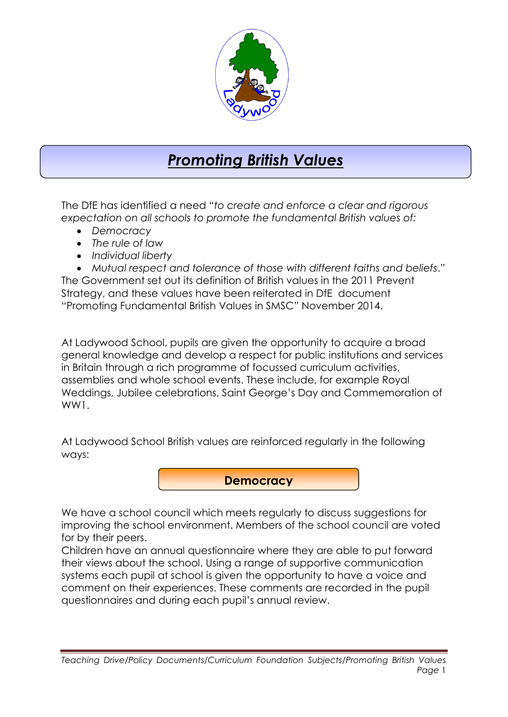

## *Promoting British Values*

The DfE has identified a need "*to create and enforce a clear and rigorous expectation on all schools to promote the fundamental British values of:*

- *Democracy*
- *The rule of law*
- *Individual liberty*

 *Mutual respect and tolerance of those with different faiths and beliefs*." The Government set out its definition of British values in the 2011 Prevent Strategy, and these values have been reiterated in DfE document "Promoting Fundamental British Values in SMSC" November 2014.

At Ladywood School, pupils are given the opportunity to acquire a broad general knowledge and develop a respect for public institutions and services in Britain through a rich programme of focussed curriculum activities, assemblies and whole school events. These include, for example Royal Weddings, Jubilee celebrations, Saint George's Day and Commemoration of WW1.

At Ladywood School British values are reinforced regularly in the following ways:

**Democracy**

We have a school council which meets regularly to discuss suggestions for improving the school environment. Members of the school council are voted for by their peers.

Children have an annual questionnaire where they are able to put forward their views about the school. Using a range of supportive communication systems each pupil at school is given the opportunity to have a voice and comment on their experiences. These comments are recorded in the pupil questionnaires and during each pupil's annual review.